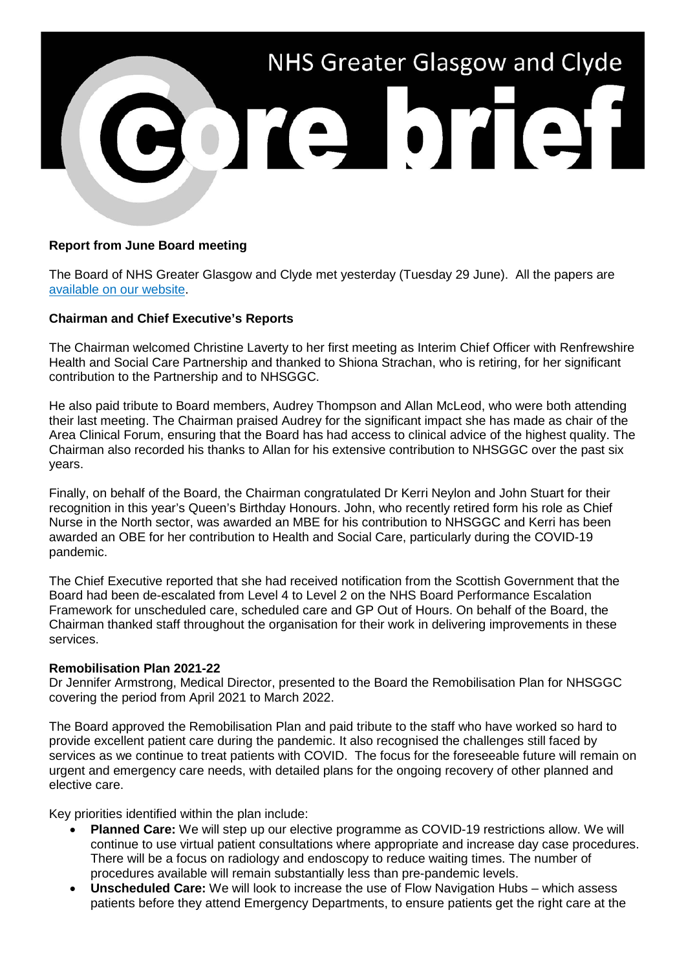

# **Report from June Board meeting**

The Board of NHS Greater Glasgow and Clyde met yesterday (Tuesday 29 June). All the papers are [available on our website.](https://www.nhsggc.org.uk/about-us/nhsggc-board/board-meetings-papers-reports/papers/2021/)

# **Chairman and Chief Executive's Reports**

The Chairman welcomed Christine Laverty to her first meeting as Interim Chief Officer with Renfrewshire Health and Social Care Partnership and thanked to Shiona Strachan, who is retiring, for her significant contribution to the Partnership and to NHSGGC.

He also paid tribute to Board members, Audrey Thompson and Allan McLeod, who were both attending their last meeting. The Chairman praised Audrey for the significant impact she has made as chair of the Area Clinical Forum, ensuring that the Board has had access to clinical advice of the highest quality. The Chairman also recorded his thanks to Allan for his extensive contribution to NHSGGC over the past six years.

Finally, on behalf of the Board, the Chairman congratulated Dr Kerri Neylon and John Stuart for their recognition in this year's Queen's Birthday Honours. John, who recently retired form his role as Chief Nurse in the North sector, was awarded an MBE for his contribution to NHSGGC and Kerri has been awarded an OBE for her contribution to Health and Social Care, particularly during the COVID-19 pandemic.

The Chief Executive reported that she had received notification from the Scottish Government that the Board had been de-escalated from Level 4 to Level 2 on the NHS Board Performance Escalation Framework for unscheduled care, scheduled care and GP Out of Hours. On behalf of the Board, the Chairman thanked staff throughout the organisation for their work in delivering improvements in these services.

## **Remobilisation Plan 2021-22**

Dr Jennifer Armstrong, Medical Director, presented to the Board the Remobilisation Plan for NHSGGC covering the period from April 2021 to March 2022.

The Board approved the Remobilisation Plan and paid tribute to the staff who have worked so hard to provide excellent patient care during the pandemic. It also recognised the challenges still faced by services as we continue to treat patients with COVID. The focus for the foreseeable future will remain on urgent and emergency care needs, with detailed plans for the ongoing recovery of other planned and elective care.

Key priorities identified within the plan include:

- **Planned Care:** We will step up our elective programme as COVID-19 restrictions allow. We will continue to use virtual patient consultations where appropriate and increase day case procedures. There will be a focus on radiology and endoscopy to reduce waiting times. The number of procedures available will remain substantially less than pre-pandemic levels.
- **Unscheduled Care:** We will look to increase the use of Flow Navigation Hubs which assess patients before they attend Emergency Departments, to ensure patients get the right care at the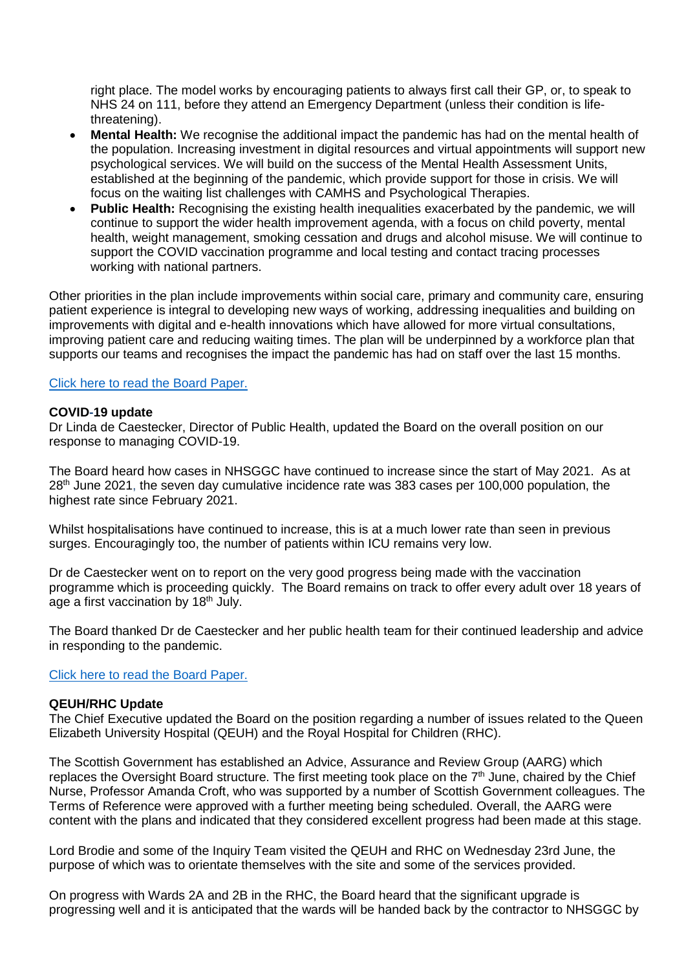right place. The model works by encouraging patients to always first call their GP, or, to speak to NHS 24 on 111, before they attend an Emergency Department (unless their condition is lifethreatening).

- **Mental Health:** We recognise the additional impact the pandemic has had on the mental health of the population. Increasing investment in digital resources and virtual appointments will support new psychological services. We will build on the success of the Mental Health Assessment Units, established at the beginning of the pandemic, which provide support for those in crisis. We will focus on the waiting list challenges with CAMHS and Psychological Therapies.
- **Public Health:** Recognising the existing health inequalities exacerbated by the pandemic, we will continue to support the wider health improvement agenda, with a focus on child poverty, mental health, weight management, smoking cessation and drugs and alcohol misuse. We will continue to support the COVID vaccination programme and local testing and contact tracing processes working with national partners.

Other priorities in the plan include improvements within social care, primary and community care, ensuring patient experience is integral to developing new ways of working, addressing inequalities and building on improvements with digital and e-health innovations which have allowed for more virtual consultations, improving patient care and reducing waiting times. The plan will be underpinned by a workforce plan that supports our teams and recognises the impact the pandemic has had on staff over the last 15 months.

### [Click here to read the Board Paper.](https://www.nhsggc.org.uk/media/267678/item-13_paper-21-32_rmp3.pdf)

## **COVID-19 update**

Dr Linda de Caestecker, Director of Public Health, updated the Board on the overall position on our response to managing COVID-19.

The Board heard how cases in NHSGGC have continued to increase since the start of May 2021. As at 28<sup>th</sup> June 2021, the seven day cumulative incidence rate was 383 cases per 100,000 population, the highest rate since February 2021.

Whilst hospitalisations have continued to increase, this is at a much lower rate than seen in previous surges. Encouragingly too, the number of patients within ICU remains very low.

Dr de Caestecker went on to report on the very good progress being made with the vaccination programme which is proceeding quickly. The Board remains on track to offer every adult over 18 years of age a first vaccination by 18<sup>th</sup> July.

The Board thanked Dr de Caestecker and her public health team for their continued leadership and advice in responding to the pandemic.

### [Click here to read the Board Paper.](https://www.nhsggc.org.uk/media/267673/item-09-paper-21-28-covid19-update.pdf)

### **QEUH/RHC Update**

The Chief Executive updated the Board on the position regarding a number of issues related to the Queen Elizabeth University Hospital (QEUH) and the Royal Hospital for Children (RHC).

The Scottish Government has established an Advice, Assurance and Review Group (AARG) which replaces the Oversight Board structure. The first meeting took place on the 7<sup>th</sup> June, chaired by the Chief Nurse, Professor Amanda Croft, who was supported by a number of Scottish Government colleagues. The Terms of Reference were approved with a further meeting being scheduled. Overall, the AARG were content with the plans and indicated that they considered excellent progress had been made at this stage.

Lord Brodie and some of the Inquiry Team visited the QEUH and RHC on Wednesday 23rd June, the purpose of which was to orientate themselves with the site and some of the services provided.

On progress with Wards 2A and 2B in the RHC, the Board heard that the significant upgrade is progressing well and it is anticipated that the wards will be handed back by the contractor to NHSGGC by